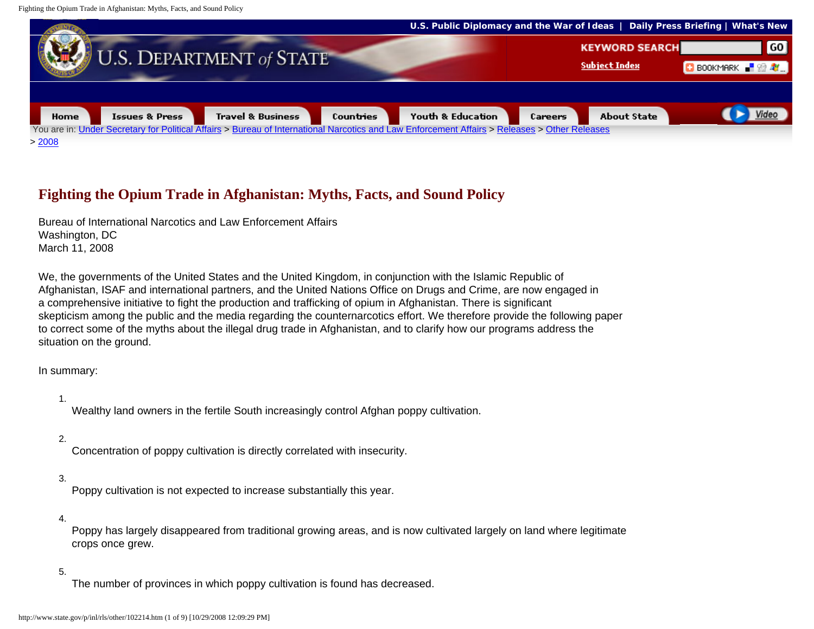

# **Fighting the Opium Trade in Afghanistan: Myths, Facts, and Sound Policy**

Bureau of International Narcotics and Law Enforcement Affairs Washington, DC March 11, 2008

We, the governments of the United States and the United Kingdom, in conjunction with the Islamic Republic of Afghanistan, ISAF and international partners, and the United Nations Office on Drugs and Crime, are now engaged in a comprehensive initiative to fight the production and trafficking of opium in Afghanistan. There is significant skepticism among the public and the media regarding the counternarcotics effort. We therefore provide the following paper to correct some of the myths about the illegal drug trade in Afghanistan, and to clarify how our programs address the situation on the ground.

In summary:

1.

Wealthy land owners in the fertile South increasingly control Afghan poppy cultivation.

#### 2.

Concentration of poppy cultivation is directly correlated with insecurity.

#### 3.

Poppy cultivation is not expected to increase substantially this year.

#### 4.

Poppy has largely disappeared from traditional growing areas, and is now cultivated largely on land where legitimate crops once grew.

#### 5.

The number of provinces in which poppy cultivation is found has decreased.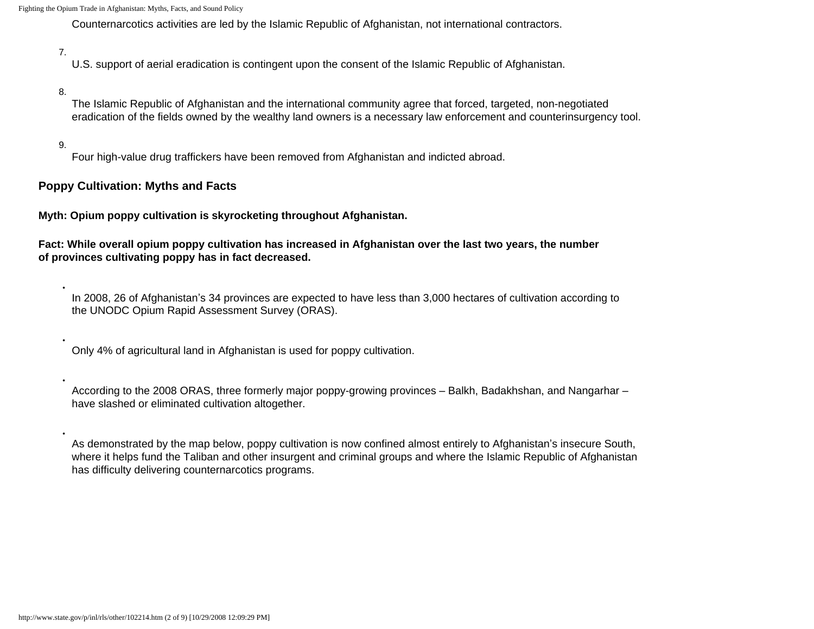Counternarcotics activities are led by the Islamic Republic of Afghanistan, not international contractors.

#### 7.

U.S. support of aerial eradication is contingent upon the consent of the Islamic Republic of Afghanistan.

#### 8.

The Islamic Republic of Afghanistan and the international community agree that forced, targeted, non-negotiated eradication of the fields owned by the wealthy land owners is a necessary law enforcement and counterinsurgency tool.

### 9.

●

●

●

●

Four high-value drug traffickers have been removed from Afghanistan and indicted abroad.

### **Poppy Cultivation: Myths and Facts**

**Myth: Opium poppy cultivation is skyrocketing throughout Afghanistan.**

**Fact: While overall opium poppy cultivation has increased in Afghanistan over the last two years, the number of provinces cultivating poppy has in fact decreased.**

In 2008, 26 of Afghanistan's 34 provinces are expected to have less than 3,000 hectares of cultivation according to the UNODC Opium Rapid Assessment Survey (ORAS).

Only 4% of agricultural land in Afghanistan is used for poppy cultivation.

According to the 2008 ORAS, three formerly major poppy-growing provinces – Balkh, Badakhshan, and Nangarhar – have slashed or eliminated cultivation altogether.

As demonstrated by the map below, poppy cultivation is now confined almost entirely to Afghanistan's insecure South, where it helps fund the Taliban and other insurgent and criminal groups and where the Islamic Republic of Afghanistan has difficulty delivering counternarcotics programs.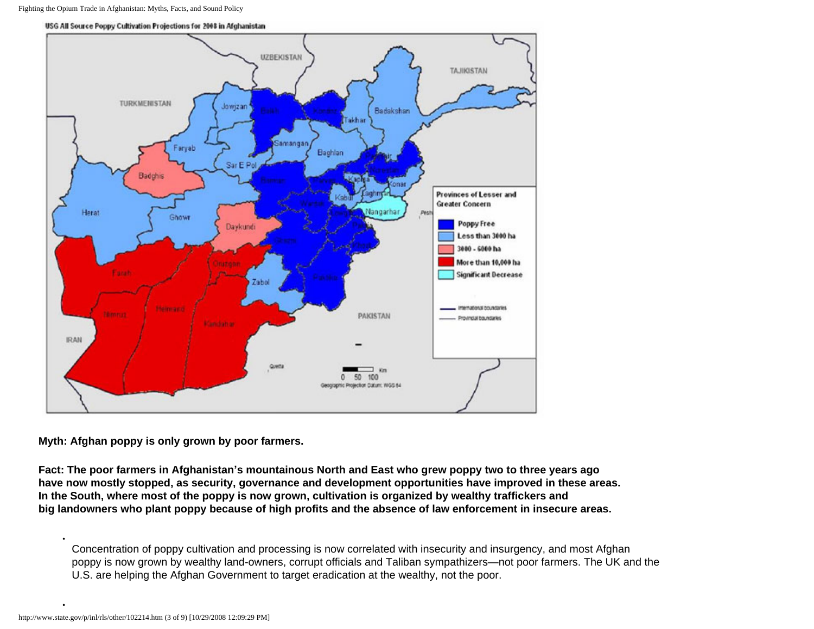

USG All Source Poppy Cultivation Projections for 2008 in Afghanistan

**Myth: Afghan poppy is only grown by poor farmers.**

**Fact: The poor farmers in Afghanistan's mountainous North and East who grew poppy two to three years ago have now mostly stopped, as security, governance and development opportunities have improved in these areas. In the South, where most of the poppy is now grown, cultivation is organized by wealthy traffickers and big landowners who plant poppy because of high profits and the absence of law enforcement in insecure areas.**

Concentration of poppy cultivation and processing is now correlated with insecurity and insurgency, and most Afghan poppy is now grown by wealthy land-owners, corrupt officials and Taliban sympathizers—not poor farmers. The UK and the U.S. are helping the Afghan Government to target eradication at the wealthy, not the poor.

●

●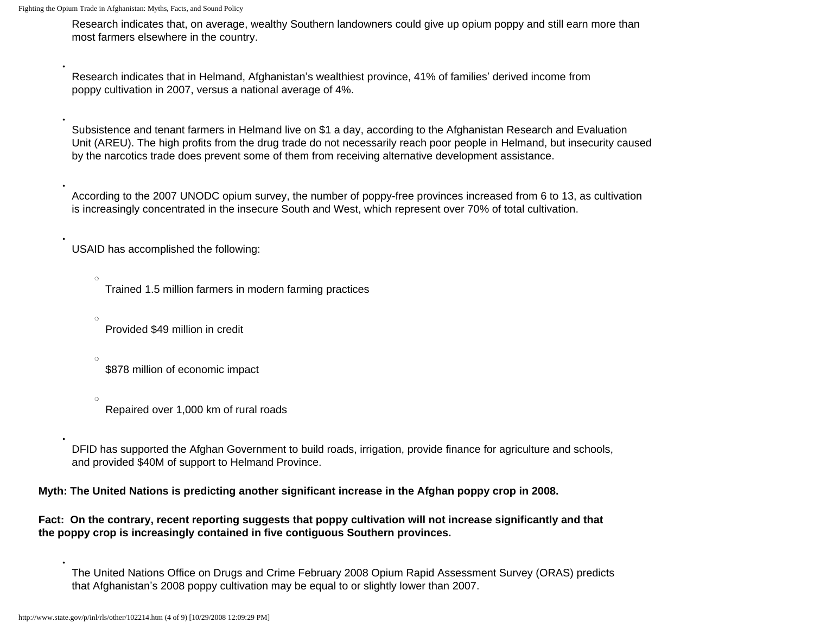●

●

●

●

●

 $\Omega$ 

 $\circ$ 

Research indicates that, on average, wealthy Southern landowners could give up opium poppy and still earn more than most farmers elsewhere in the country.

Research indicates that in Helmand, Afghanistan's wealthiest province, 41% of families' derived income from poppy cultivation in 2007, versus a national average of 4%.

Subsistence and tenant farmers in Helmand live on \$1 a day, according to the Afghanistan Research and Evaluation Unit (AREU). The high profits from the drug trade do not necessarily reach poor people in Helmand, but insecurity caused by the narcotics trade does prevent some of them from receiving alternative development assistance.

According to the 2007 UNODC opium survey, the number of poppy-free provinces increased from 6 to 13, as cultivation is increasingly concentrated in the insecure South and West, which represent over 70% of total cultivation.

USAID has accomplished the following:

Trained 1.5 million farmers in modern farming practices

Provided \$49 million in credit

 $\circ$ \$878 million of economic impact

 $\Omega$ Repaired over 1,000 km of rural roads

DFID has supported the Afghan Government to build roads, irrigation, provide finance for agriculture and schools, and provided \$40M of support to Helmand Province.

**Myth: The United Nations is predicting another significant increase in the Afghan poppy crop in 2008.**

**Fact: On the contrary, recent reporting suggests that poppy cultivation will not increase significantly and that the poppy crop is increasingly contained in five contiguous Southern provinces.**

The United Nations Office on Drugs and Crime February 2008 Opium Rapid Assessment Survey (ORAS) predicts that Afghanistan's 2008 poppy cultivation may be equal to or slightly lower than 2007.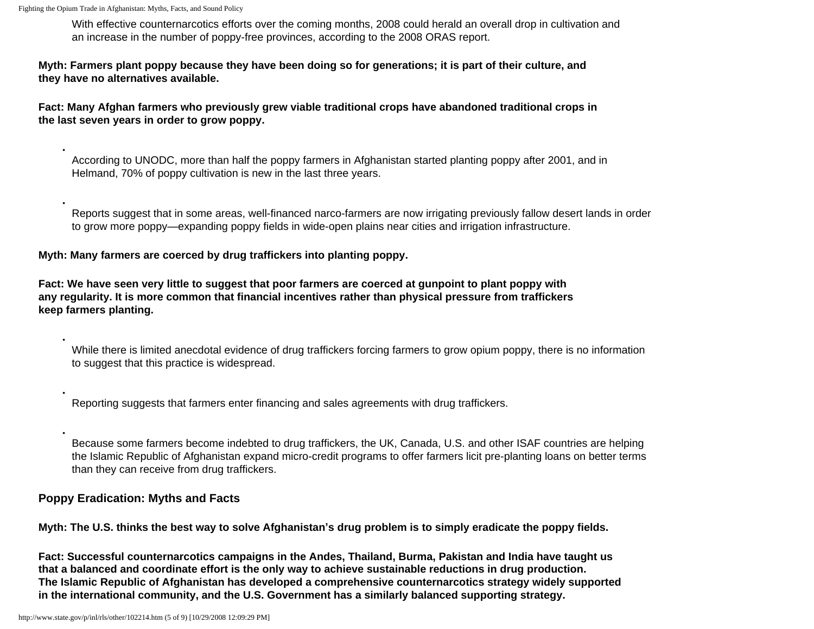●

●

●

●

With effective counternarcotics efforts over the coming months, 2008 could herald an overall drop in cultivation and an increase in the number of poppy-free provinces, according to the 2008 ORAS report.

**Myth: Farmers plant poppy because they have been doing so for generations; it is part of their culture, and they have no alternatives available.**

**Fact: Many Afghan farmers who previously grew viable traditional crops have abandoned traditional crops in the last seven years in order to grow poppy.**

According to UNODC, more than half the poppy farmers in Afghanistan started planting poppy after 2001, and in Helmand, 70% of poppy cultivation is new in the last three years.

Reports suggest that in some areas, well-financed narco-farmers are now irrigating previously fallow desert lands in order to grow more poppy—expanding poppy fields in wide-open plains near cities and irrigation infrastructure.

### **Myth: Many farmers are coerced by drug traffickers into planting poppy.**

**Fact: We have seen very little to suggest that poor farmers are coerced at gunpoint to plant poppy with any regularity. It is more common that financial incentives rather than physical pressure from traffickers keep farmers planting.**

While there is limited anecdotal evidence of drug traffickers forcing farmers to grow opium poppy, there is no information to suggest that this practice is widespread.

Reporting suggests that farmers enter financing and sales agreements with drug traffickers.

Because some farmers become indebted to drug traffickers, the UK, Canada, U.S. and other ISAF countries are helping the Islamic Republic of Afghanistan expand micro-credit programs to offer farmers licit pre-planting loans on better terms than they can receive from drug traffickers.

### **Poppy Eradication: Myths and Facts**

**Myth: The U.S. thinks the best way to solve Afghanistan's drug problem is to simply eradicate the poppy fields.**

**Fact: Successful counternarcotics campaigns in the Andes, Thailand, Burma, Pakistan and India have taught us that a balanced and coordinate effort is the only way to achieve sustainable reductions in drug production. The Islamic Republic of Afghanistan has developed a comprehensive counternarcotics strategy widely supported in the international community, and the U.S. Government has a similarly balanced supporting strategy.**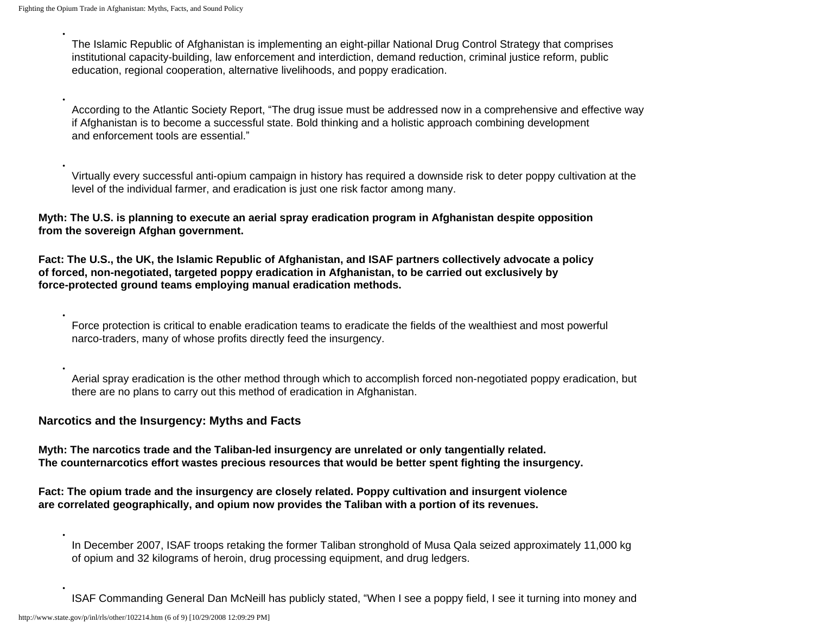●

●

●

●

●

●

The Islamic Republic of Afghanistan is implementing an eight-pillar National Drug Control Strategy that comprises institutional capacity-building, law enforcement and interdiction, demand reduction, criminal justice reform, public education, regional cooperation, alternative livelihoods, and poppy eradication.

According to the Atlantic Society Report, "The drug issue must be addressed now in a comprehensive and effective way if Afghanistan is to become a successful state. Bold thinking and a holistic approach combining development and enforcement tools are essential."

Virtually every successful anti-opium campaign in history has required a downside risk to deter poppy cultivation at the level of the individual farmer, and eradication is just one risk factor among many.

**Myth: The U.S. is planning to execute an aerial spray eradication program in Afghanistan despite opposition from the sovereign Afghan government.**

**Fact: The U.S., the UK, the Islamic Republic of Afghanistan, and ISAF partners collectively advocate a policy of forced, non-negotiated, targeted poppy eradication in Afghanistan, to be carried out exclusively by force-protected ground teams employing manual eradication methods.**

Force protection is critical to enable eradication teams to eradicate the fields of the wealthiest and most powerful narco-traders, many of whose profits directly feed the insurgency.

Aerial spray eradication is the other method through which to accomplish forced non-negotiated poppy eradication, but there are no plans to carry out this method of eradication in Afghanistan.

### **Narcotics and the Insurgency: Myths and Facts**

**Myth: The narcotics trade and the Taliban-led insurgency are unrelated or only tangentially related. The counternarcotics effort wastes precious resources that would be better spent fighting the insurgency.**

**Fact: The opium trade and the insurgency are closely related. Poppy cultivation and insurgent violence are correlated geographically, and opium now provides the Taliban with a portion of its revenues.**

In December 2007, ISAF troops retaking the former Taliban stronghold of Musa Qala seized approximately 11,000 kg of opium and 32 kilograms of heroin, drug processing equipment, and drug ledgers.

ISAF Commanding General Dan McNeill has publicly stated, "When I see a poppy field, I see it turning into money and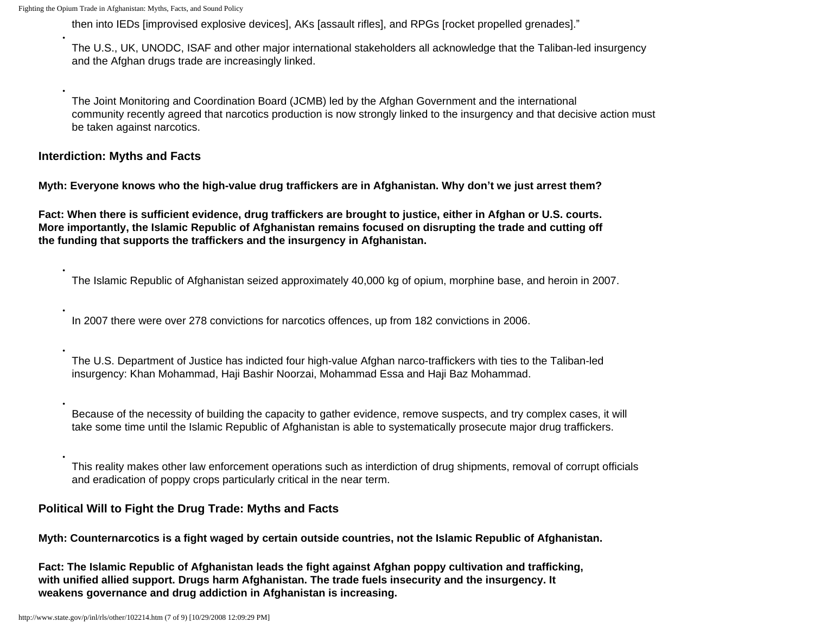●

●

●

●

●

●

●

then into IEDs [improvised explosive devices], AKs [assault rifles], and RPGs [rocket propelled grenades]."

The U.S., UK, UNODC, ISAF and other major international stakeholders all acknowledge that the Taliban-led insurgency and the Afghan drugs trade are increasingly linked.

The Joint Monitoring and Coordination Board (JCMB) led by the Afghan Government and the international community recently agreed that narcotics production is now strongly linked to the insurgency and that decisive action must be taken against narcotics.

### **Interdiction: Myths and Facts**

**Myth: Everyone knows who the high-value drug traffickers are in Afghanistan. Why don't we just arrest them?**

**Fact: When there is sufficient evidence, drug traffickers are brought to justice, either in Afghan or U.S. courts. More importantly, the Islamic Republic of Afghanistan remains focused on disrupting the trade and cutting off the funding that supports the traffickers and the insurgency in Afghanistan.**

The Islamic Republic of Afghanistan seized approximately 40,000 kg of opium, morphine base, and heroin in 2007.

In 2007 there were over 278 convictions for narcotics offences, up from 182 convictions in 2006.

The U.S. Department of Justice has indicted four high-value Afghan narco-traffickers with ties to the Taliban-led insurgency: Khan Mohammad, Haji Bashir Noorzai, Mohammad Essa and Haji Baz Mohammad.

Because of the necessity of building the capacity to gather evidence, remove suspects, and try complex cases, it will take some time until the Islamic Republic of Afghanistan is able to systematically prosecute major drug traffickers.

This reality makes other law enforcement operations such as interdiction of drug shipments, removal of corrupt officials and eradication of poppy crops particularly critical in the near term.

### **Political Will to Fight the Drug Trade: Myths and Facts**

**Myth: Counternarcotics is a fight waged by certain outside countries, not the Islamic Republic of Afghanistan.**

**Fact: The Islamic Republic of Afghanistan leads the fight against Afghan poppy cultivation and trafficking, with unified allied support. Drugs harm Afghanistan. The trade fuels insecurity and the insurgency. It weakens governance and drug addiction in Afghanistan is increasing.**

http://www.state.gov/p/inl/rls/other/102214.htm (7 of 9) [10/29/2008 12:09:29 PM]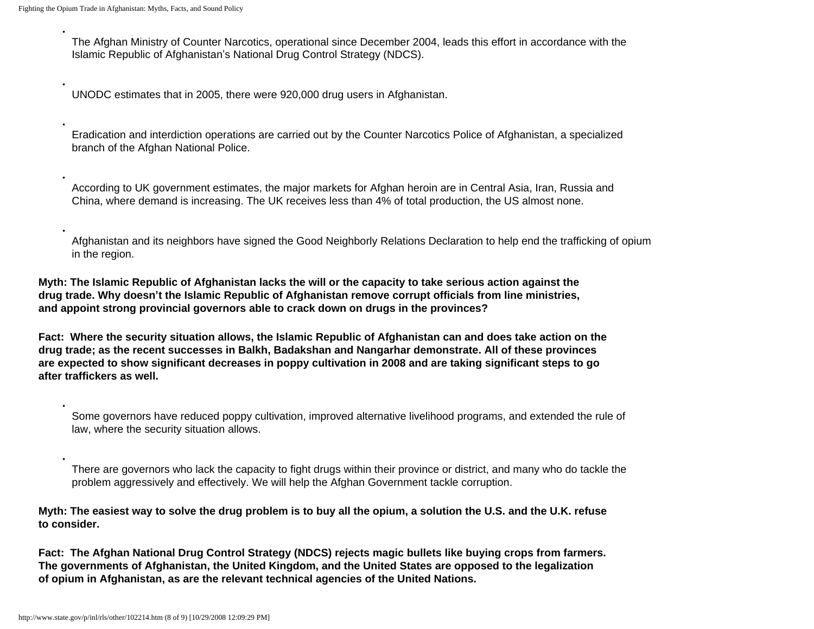●

●

●

●

●

●

The Afghan Ministry of Counter Narcotics, operational since December 2004, leads this effort in accordance with the Islamic Republic of Afghanistan's National Drug Control Strategy (NDCS).

UNODC estimates that in 2005, there were 920,000 drug users in Afghanistan.

Eradication and interdiction operations are carried out by the Counter Narcotics Police of Afghanistan, a specialized branch of the Afghan National Police.

According to UK government estimates, the major markets for Afghan heroin are in Central Asia, Iran, Russia and China, where demand is increasing. The UK receives less than 4% of total production, the US almost none.

Afghanistan and its neighbors have signed the Good Neighborly Relations Declaration to help end the trafficking of opium in the region.

**Myth: The Islamic Republic of Afghanistan lacks the will or the capacity to take serious action against the drug trade. Why doesn't the Islamic Republic of Afghanistan remove corrupt officials from line ministries, and appoint strong provincial governors able to crack down on drugs in the provinces?**

**Fact: Where the security situation allows, the Islamic Republic of Afghanistan can and does take action on the drug trade; as the recent successes in Balkh, Badakshan and Nangarhar demonstrate. All of these provinces are expected to show significant decreases in poppy cultivation in 2008 and are taking significant steps to go after traffickers as well.**

Some governors have reduced poppy cultivation, improved alternative livelihood programs, and extended the rule of law, where the security situation allows.

There are governors who lack the capacity to fight drugs within their province or district, and many who do tackle the problem aggressively and effectively. We will help the Afghan Government tackle corruption.

**Myth: The easiest way to solve the drug problem is to buy all the opium, a solution the U.S. and the U.K. refuse to consider.**

**Fact: The Afghan National Drug Control Strategy (NDCS) rejects magic bullets like buying crops from farmers. The governments of Afghanistan, the United Kingdom, and the United States are opposed to the legalization of opium in Afghanistan, as are the relevant technical agencies of the United Nations.**